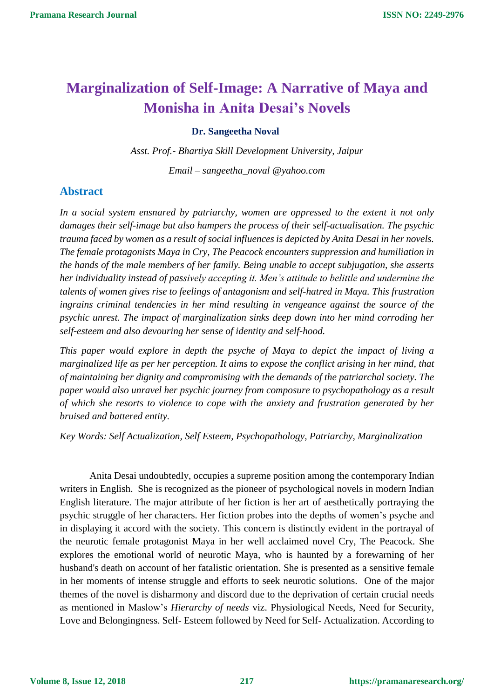## **Marginalization of Self-Image: A Narrative of Maya and Monisha in Anita Desai's Novels**

## **Dr. Sangeetha Noval**

*Asst. Prof.- Bhartiya Skill Development University, Jaipur*

*Email – sangeetha\_noval @yahoo.com*

## **Abstract**

*In a social system ensnared by patriarchy, women are oppressed to the extent it not only damages their self-image but also hampers the process of their self-actualisation. The psychic trauma faced by women as a result of social influences is depicted by Anita Desai in her novels. The female protagonists Maya in Cry, The Peacock encounters suppression and humiliation in the hands of the male members of her family. Being unable to accept subjugation, she asserts her individuality instead of passively accepting it. Men's attitude to belittle and undermine the talents of women gives rise to feelings of antagonism and self-hatred in Maya. This frustration ingrains criminal tendencies in her mind resulting in vengeance against the source of the psychic unrest. The impact of marginalization sinks deep down into her mind corroding her self-esteem and also devouring her sense of identity and self-hood.*

*This paper would explore in depth the psyche of Maya to depict the impact of living a marginalized life as per her perception. It aims to expose the conflict arising in her mind, that of maintaining her dignity and compromising with the demands of the patriarchal society. The paper would also unravel her psychic journey from composure to psychopathology as a result of which she resorts to violence to cope with the anxiety and frustration generated by her bruised and battered entity.*

*Key Words: Self Actualization, Self Esteem, Psychopathology, Patriarchy, Marginalization*

Anita Desai undoubtedly, occupies a supreme position among the contemporary Indian writers in English. She is recognized as the pioneer of psychological novels in modern Indian English literature. The major attribute of her fiction is her art of aesthetically portraying the psychic struggle of her characters. Her fiction probes into the depths of women's psyche and in displaying it accord with the society. This concern is distinctly evident in the portrayal of the neurotic female protagonist Maya in her well acclaimed novel Cry, The Peacock. She explores the emotional world of neurotic Maya, who is haunted by a forewarning of her husband's death on account of her fatalistic orientation. She is presented as a sensitive female in her moments of intense struggle and efforts to seek neurotic solutions. One of the major themes of the novel is disharmony and discord due to the deprivation of certain crucial needs as mentioned in Maslow's *Hierarchy of needs* viz. Physiological Needs, Need for Security, Love and Belongingness. Self- Esteem followed by Need for Self- Actualization. According to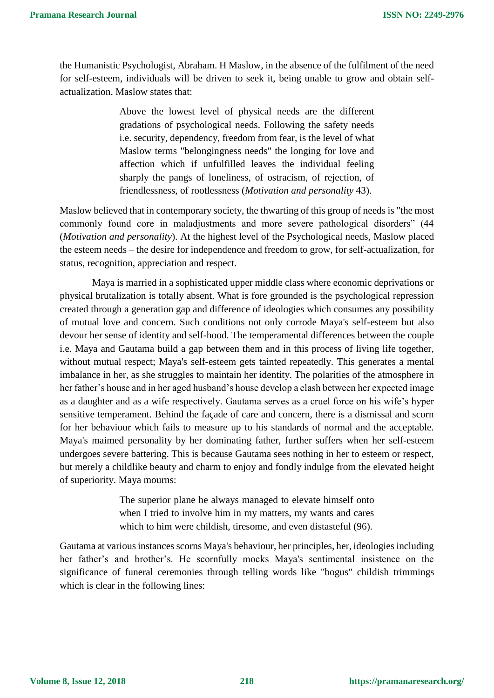the Humanistic Psychologist, Abraham. H Maslow, in the absence of the fulfilment of the need for self-esteem, individuals will be driven to seek it, being unable to grow and obtain selfactualization. Maslow states that:

> Above the lowest level of physical needs are the different gradations of psychological needs. Following the safety needs i.e. security, dependency, freedom from fear, is the level of what Maslow terms "belongingness needs" the longing for love and affection which if unfulfilled leaves the individual feeling sharply the pangs of loneliness, of ostracism, of rejection, of friendlessness, of rootlessness (*Motivation and personality* 43).

Maslow believed that in contemporary society, the thwarting of this group of needs is "the most commonly found core in maladjustments and more severe pathological disorders" (44 (*Motivation and personality*). At the highest level of the Psychological needs, Maslow placed the esteem needs – the desire for independence and freedom to grow, for self-actualization, for status, recognition, appreciation and respect.

Maya is married in a sophisticated upper middle class where economic deprivations or physical brutalization is totally absent. What is fore grounded is the psychological repression created through a generation gap and difference of ideologies which consumes any possibility of mutual love and concern. Such conditions not only corrode Maya's self-esteem but also devour her sense of identity and self-hood. The temperamental differences between the couple i.e. Maya and Gautama build a gap between them and in this process of living life together, without mutual respect; Maya's self-esteem gets tainted repeatedly. This generates a mental imbalance in her, as she struggles to maintain her identity. The polarities of the atmosphere in her father's house and in her aged husband's house develop a clash between her expected image as a daughter and as a wife respectively. Gautama serves as a cruel force on his wife's hyper sensitive temperament. Behind the façade of care and concern, there is a dismissal and scorn for her behaviour which fails to measure up to his standards of normal and the acceptable. Maya's maimed personality by her dominating father, further suffers when her self-esteem undergoes severe battering. This is because Gautama sees nothing in her to esteem or respect, but merely a childlike beauty and charm to enjoy and fondly indulge from the elevated height of superiority. Maya mourns:

> The superior plane he always managed to elevate himself onto when I tried to involve him in my matters, my wants and cares which to him were childish, tiresome, and even distasteful (96).

Gautama at various instances scorns Maya's behaviour, her principles, her, ideologies including her father's and brother's. He scornfully mocks Maya's sentimental insistence on the significance of funeral ceremonies through telling words like "bogus" childish trimmings which is clear in the following lines: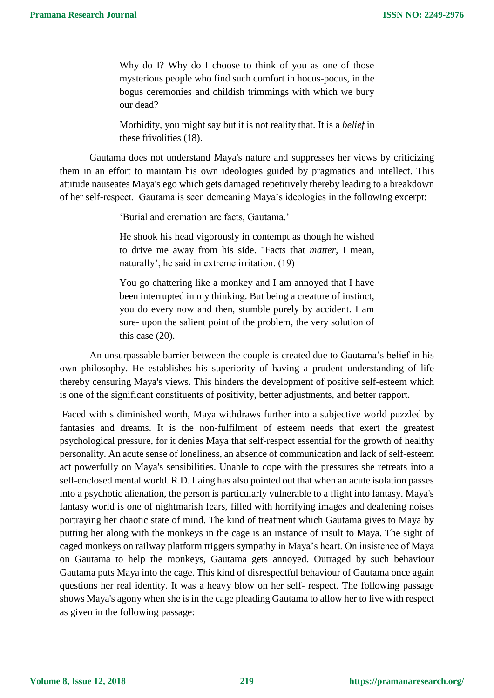Why do I? Why do I choose to think of you as one of those mysterious people who find such comfort in hocus-pocus, in the bogus ceremonies and childish trimmings with which we bury our dead?

Morbidity, you might say but it is not reality that. It is a *belief* in these frivolities (18).

Gautama does not understand Maya's nature and suppresses her views by criticizing them in an effort to maintain his own ideologies guided by pragmatics and intellect. This attitude nauseates Maya's ego which gets damaged repetitively thereby leading to a breakdown of her self-respect. Gautama is seen demeaning Maya's ideologies in the following excerpt:

'Burial and cremation are facts, Gautama.'

He shook his head vigorously in contempt as though he wished to drive me away from his side. "Facts that *matter,* I mean, naturally', he said in extreme irritation. (19)

You go chattering like a monkey and I am annoyed that I have been interrupted in my thinking. But being a creature of instinct, you do every now and then, stumble purely by accident. I am sure- upon the salient point of the problem, the very solution of this case (20).

An unsurpassable barrier between the couple is created due to Gautama's belief in his own philosophy. He establishes his superiority of having a prudent understanding of life thereby censuring Maya's views. This hinders the development of positive self-esteem which is one of the significant constituents of positivity, better adjustments, and better rapport.

Faced with s diminished worth, Maya withdraws further into a subjective world puzzled by fantasies and dreams. It is the non-fulfilment of esteem needs that exert the greatest psychological pressure, for it denies Maya that self-respect essential for the growth of healthy personality. An acute sense of loneliness, an absence of communication and lack of self-esteem act powerfully on Maya's sensibilities. Unable to cope with the pressures she retreats into a self-enclosed mental world. R.D. Laing has also pointed out that when an acute isolation passes into a psychotic alienation, the person is particularly vulnerable to a flight into fantasy. Maya's fantasy world is one of nightmarish fears, filled with horrifying images and deafening noises portraying her chaotic state of mind. The kind of treatment which Gautama gives to Maya by putting her along with the monkeys in the cage is an instance of insult to Maya. The sight of caged monkeys on railway platform triggers sympathy in Maya's heart. On insistence of Maya on Gautama to help the monkeys, Gautama gets annoyed. Outraged by such behaviour Gautama puts Maya into the cage. This kind of disrespectful behaviour of Gautama once again questions her real identity. It was a heavy blow on her self- respect. The following passage shows Maya's agony when she is in the cage pleading Gautama to allow her to live with respect as given in the following passage: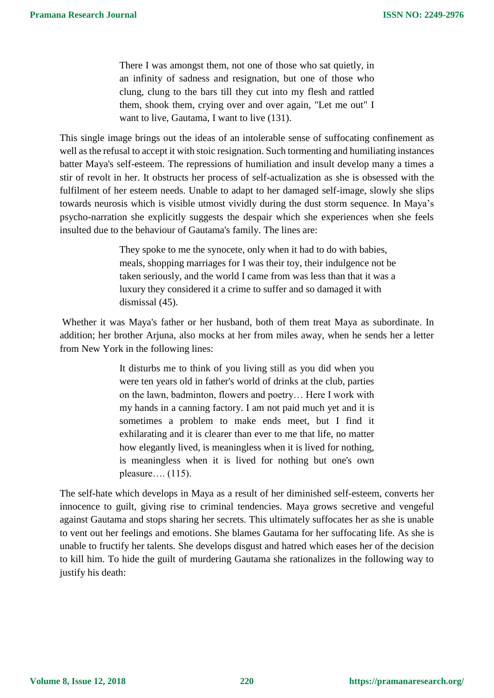There I was amongst them, not one of those who sat quietly, in an infinity of sadness and resignation, but one of those who clung, clung to the bars till they cut into my flesh and rattled them, shook them, crying over and over again, "Let me out" I want to live, Gautama, I want to live (131).

This single image brings out the ideas of an intolerable sense of suffocating confinement as well as the refusal to accept it with stoic resignation. Such tormenting and humiliating instances batter Maya's self-esteem. The repressions of humiliation and insult develop many a times a stir of revolt in her. It obstructs her process of self-actualization as she is obsessed with the fulfilment of her esteem needs. Unable to adapt to her damaged self-image, slowly she slips towards neurosis which is visible utmost vividly during the dust storm sequence. In Maya's psycho-narration she explicitly suggests the despair which she experiences when she feels insulted due to the behaviour of Gautama's family. The lines are:

> They spoke to me the synocete, only when it had to do with babies, meals, shopping marriages for I was their toy, their indulgence not be taken seriously, and the world I came from was less than that it was a luxury they considered it a crime to suffer and so damaged it with dismissal (45).

Whether it was Maya's father or her husband, both of them treat Maya as subordinate. In addition; her brother Arjuna, also mocks at her from miles away, when he sends her a letter from New York in the following lines:

> It disturbs me to think of you living still as you did when you were ten years old in father's world of drinks at the club, parties on the lawn, badminton, flowers and poetry… Here I work with my hands in a canning factory. I am not paid much yet and it is sometimes a problem to make ends meet, but I find it exhilarating and it is clearer than ever to me that life, no matter how elegantly lived, is meaningless when it is lived for nothing, is meaningless when it is lived for nothing but one's own pleasure…. (115).

The self-hate which develops in Maya as a result of her diminished self-esteem, converts her innocence to guilt, giving rise to criminal tendencies. Maya grows secretive and vengeful against Gautama and stops sharing her secrets. This ultimately suffocates her as she is unable to vent out her feelings and emotions. She blames Gautama for her suffocating life. As she is unable to fructify her talents. She develops disgust and hatred which eases her of the decision to kill him. To hide the guilt of murdering Gautama she rationalizes in the following way to justify his death: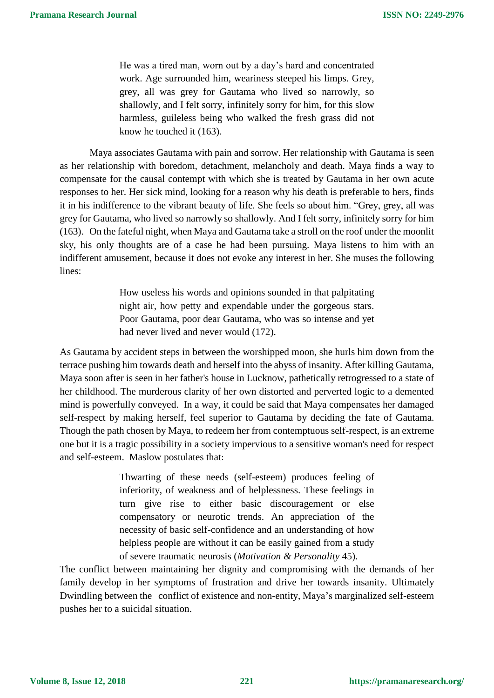He was a tired man, worn out by a day's hard and concentrated work. Age surrounded him, weariness steeped his limps. Grey, grey, all was grey for Gautama who lived so narrowly, so shallowly, and I felt sorry, infinitely sorry for him, for this slow harmless, guileless being who walked the fresh grass did not know he touched it (163).

Maya associates Gautama with pain and sorrow. Her relationship with Gautama is seen as her relationship with boredom, detachment, melancholy and death. Maya finds a way to compensate for the causal contempt with which she is treated by Gautama in her own acute responses to her. Her sick mind, looking for a reason why his death is preferable to hers, finds it in his indifference to the vibrant beauty of life. She feels so about him. "Grey, grey, all was grey for Gautama, who lived so narrowly so shallowly. And I felt sorry, infinitely sorry for him (163). On the fateful night, when Maya and Gautama take a stroll on the roof under the moonlit sky, his only thoughts are of a case he had been pursuing. Maya listens to him with an indifferent amusement, because it does not evoke any interest in her. She muses the following lines:

> How useless his words and opinions sounded in that palpitating night air, how petty and expendable under the gorgeous stars. Poor Gautama, poor dear Gautama, who was so intense and yet had never lived and never would (172).

As Gautama by accident steps in between the worshipped moon, she hurls him down from the terrace pushing him towards death and herself into the abyss of insanity. After killing Gautama, Maya soon after is seen in her father's house in Lucknow, pathetically retrogressed to a state of her childhood. The murderous clarity of her own distorted and perverted logic to a demented mind is powerfully conveyed. In a way, it could be said that Maya compensates her damaged self-respect by making herself, feel superior to Gautama by deciding the fate of Gautama. Though the path chosen by Maya, to redeem her from contemptuous self-respect, is an extreme one but it is a tragic possibility in a society impervious to a sensitive woman's need for respect and self-esteem. Maslow postulates that:

> Thwarting of these needs (self-esteem) produces feeling of inferiority, of weakness and of helplessness. These feelings in turn give rise to either basic discouragement or else compensatory or neurotic trends. An appreciation of the necessity of basic self-confidence and an understanding of how helpless people are without it can be easily gained from a study of severe traumatic neurosis (*Motivation & Personality* 45).

The conflict between maintaining her dignity and compromising with the demands of her family develop in her symptoms of frustration and drive her towards insanity. Ultimately Dwindling between the conflict of existence and non-entity, Maya's marginalized self-esteem pushes her to a suicidal situation.